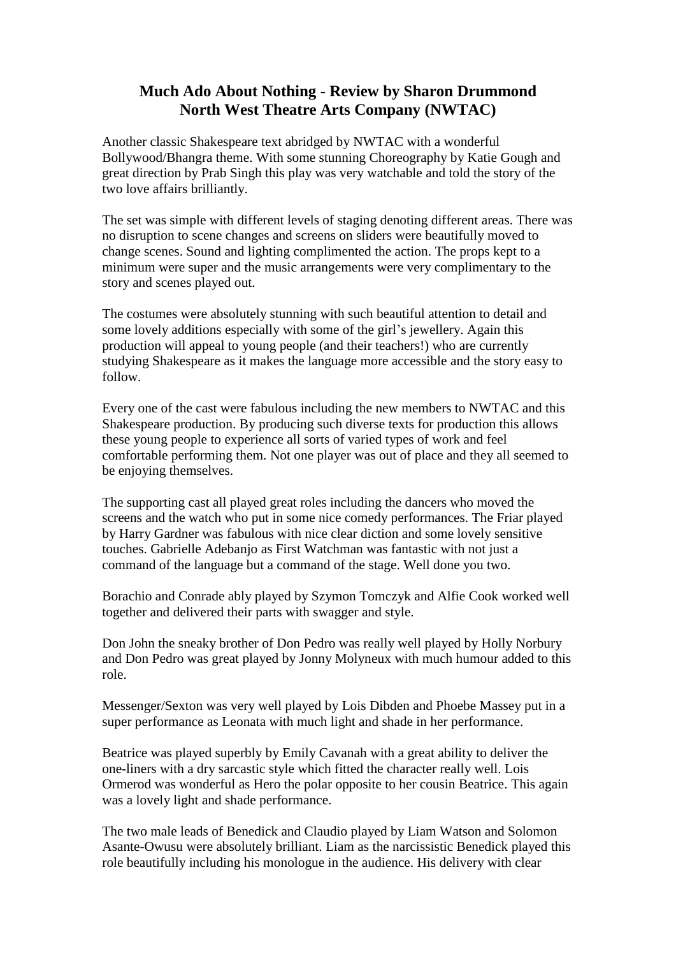## **Much Ado About Nothing - Review by Sharon Drummond North West Theatre Arts Company (NWTAC)**

Another classic Shakespeare text abridged by NWTAC with a wonderful Bollywood/Bhangra theme. With some stunning Choreography by Katie Gough and great direction by Prab Singh this play was very watchable and told the story of the two love affairs brilliantly.

The set was simple with different levels of staging denoting different areas. There was no disruption to scene changes and screens on sliders were beautifully moved to change scenes. Sound and lighting complimented the action. The props kept to a minimum were super and the music arrangements were very complimentary to the story and scenes played out.

The costumes were absolutely stunning with such beautiful attention to detail and some lovely additions especially with some of the girl's jewellery. Again this production will appeal to young people (and their teachers!) who are currently studying Shakespeare as it makes the language more accessible and the story easy to follow.

Every one of the cast were fabulous including the new members to NWTAC and this Shakespeare production. By producing such diverse texts for production this allows these young people to experience all sorts of varied types of work and feel comfortable performing them. Not one player was out of place and they all seemed to be enjoying themselves.

The supporting cast all played great roles including the dancers who moved the screens and the watch who put in some nice comedy performances. The Friar played by Harry Gardner was fabulous with nice clear diction and some lovely sensitive touches. Gabrielle Adebanjo as First Watchman was fantastic with not just a command of the language but a command of the stage. Well done you two.

Borachio and Conrade ably played by Szymon Tomczyk and Alfie Cook worked well together and delivered their parts with swagger and style.

Don John the sneaky brother of Don Pedro was really well played by Holly Norbury and Don Pedro was great played by Jonny Molyneux with much humour added to this role.

Messenger/Sexton was very well played by Lois Dibden and Phoebe Massey put in a super performance as Leonata with much light and shade in her performance.

Beatrice was played superbly by Emily Cavanah with a great ability to deliver the one-liners with a dry sarcastic style which fitted the character really well. Lois Ormerod was wonderful as Hero the polar opposite to her cousin Beatrice. This again was a lovely light and shade performance.

The two male leads of Benedick and Claudio played by Liam Watson and Solomon Asante-Owusu were absolutely brilliant. Liam as the narcissistic Benedick played this role beautifully including his monologue in the audience. His delivery with clear